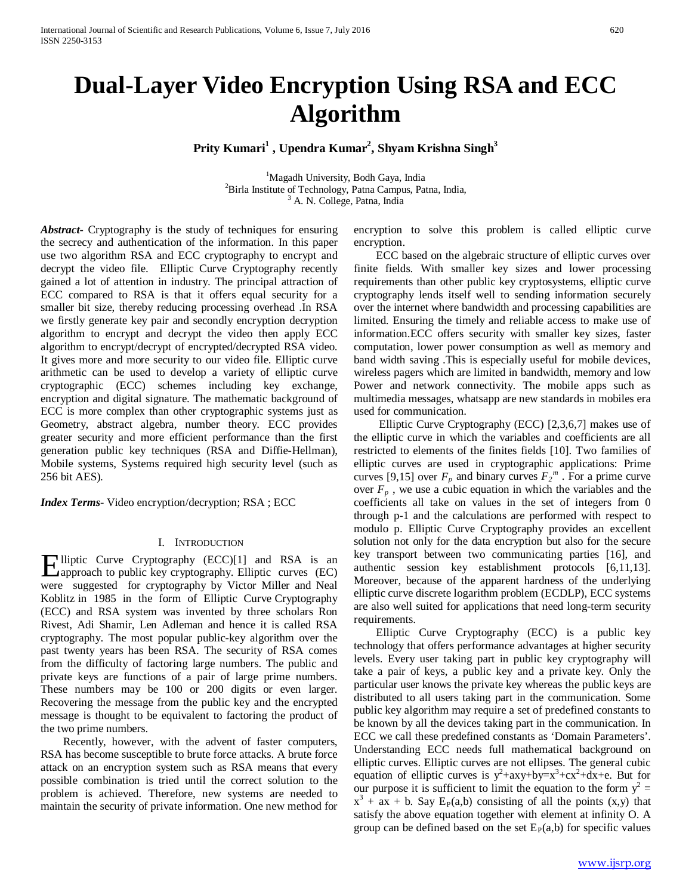# **Dual-Layer Video Encryption Using RSA and ECC Algorithm**

## **Prity Kumari1 , Upendra Kumar2 , Shyam Krishna Singh3**

<sup>1</sup>Magadh University, Bodh Gaya, India<br><sup>2</sup>Pirla Institute of Technology, Betpe Campus, Ba  ${}^{2}$ Birla Institute of Technology, Patna Campus, Patna, India,  ${}^{3}$  A. N. College, Patna, India

*Abstract***-** Cryptography is the study of techniques for ensuring the secrecy and authentication of the information. In this paper use two algorithm RSA and ECC cryptography to encrypt and decrypt the video file. Elliptic Curve Cryptography recently gained a lot of attention in industry. The principal attraction of ECC compared to RSA is that it offers equal security for a smaller bit size, thereby reducing processing overhead .In RSA we firstly generate key pair and secondly encryption decryption algorithm to encrypt and decrypt the video then apply ECC algorithm to encrypt/decrypt of encrypted/decrypted RSA video. It gives more and more security to our video file. Elliptic curve arithmetic can be used to develop a variety of elliptic curve cryptographic (ECC) schemes including key exchange, encryption and digital signature. The mathematic background of ECC is more complex than other cryptographic systems just as Geometry, abstract algebra, number theory. ECC provides greater security and more efficient performance than the first generation public key techniques (RSA and Diffie-Hellman), Mobile systems, Systems required high security level (such as 256 bit AES).

*Index Terms*- Video encryption/decryption; RSA ; ECC

## I. INTRODUCTION

Elliptic Curve Cryptography (ECC)[1] and RSA is an approach to public key cryptography. Elliptic curves (EC) approach to public key cryptography. Elliptic curves (EC) were suggested for cryptography by Victor Miller and Neal Koblitz in 1985 in the form of Elliptic Curve Cryptography (ECC) and RSA system was invented by three scholars Ron Rivest, Adi Shamir, Len Adleman and hence it is called RSA cryptography. The most popular public-key algorithm over the past twenty years has been RSA. The security of RSA comes from the difficulty of factoring large numbers. The public and private keys are functions of a pair of large prime numbers. These numbers may be 100 or 200 digits or even larger. Recovering the message from the public key and the encrypted message is thought to be equivalent to factoring the product of the two prime numbers.

 Recently, however, with the advent of faster computers, RSA has become susceptible to brute force attacks. A brute force attack on an encryption system such as RSA means that every possible combination is tried until the correct solution to the problem is achieved. Therefore, new systems are needed to maintain the security of private information. One new method for

encryption to solve this problem is called elliptic curve encryption.

 ECC based on the algebraic structure of elliptic curves over finite fields. With smaller key sizes and lower processing requirements than other public key cryptosystems, elliptic curve cryptography lends itself well to sending information securely over the internet where bandwidth and processing capabilities are limited. Ensuring the timely and reliable access to make use of information.ECC offers security with smaller key sizes, faster computation, lower power consumption as well as memory and band width saving .This is especially useful for mobile devices, wireless pagers which are limited in bandwidth, memory and low Power and network connectivity. The mobile apps such as multimedia messages, whatsapp are new standards in mobiles era used for communication.

 Elliptic Curve Cryptography (ECC) [2,3,6,7] makes use of the elliptic curve in which the variables and coefficients are all restricted to elements of the finites fields [10]. Two families of elliptic curves are used in cryptographic applications: Prime curves [9,15] over  $F_p$  and binary curves  $F_2^m$ . For a prime curve over  $F_p$ , we use a cubic equation in which the variables and the coefficients all take on values in the set of integers from 0 through p-1 and the calculations are performed with respect to modulo p. Elliptic Curve Cryptography provides an excellent solution not only for the data encryption but also for the secure key transport between two communicating parties [16], and authentic session key establishment protocols [6,11,13]. Moreover, because of the apparent hardness of the underlying elliptic curve discrete logarithm problem (ECDLP), ECC systems are also well suited for applications that need long-term security requirements.

 Elliptic Curve Cryptography (ECC) is a public key technology that offers performance advantages at higher security levels. Every user taking part in public key cryptography will take a pair of keys, a public key and a private key. Only the particular user knows the private key whereas the public keys are distributed to all users taking part in the communication. Some public key algorithm may require a set of predefined constants to be known by all the devices taking part in the communication. In ECC we call these predefined constants as 'Domain Parameters'. Understanding ECC needs full mathematical background on elliptic curves. Elliptic curves are not ellipses. The general cubic equation of elliptic curves is  $y^2$ +axy+by=x<sup>3</sup>+cx<sup>2</sup>+dx+e. But for our purpose it is sufficient to limit the equation to the form  $y^2 =$  $x^3 + ax + b$ . Say E<sub>P</sub>(a,b) consisting of all the points (x,y) that satisfy the above equation together with element at infinity O. A group can be defined based on the set  $E_P(a,b)$  for specific values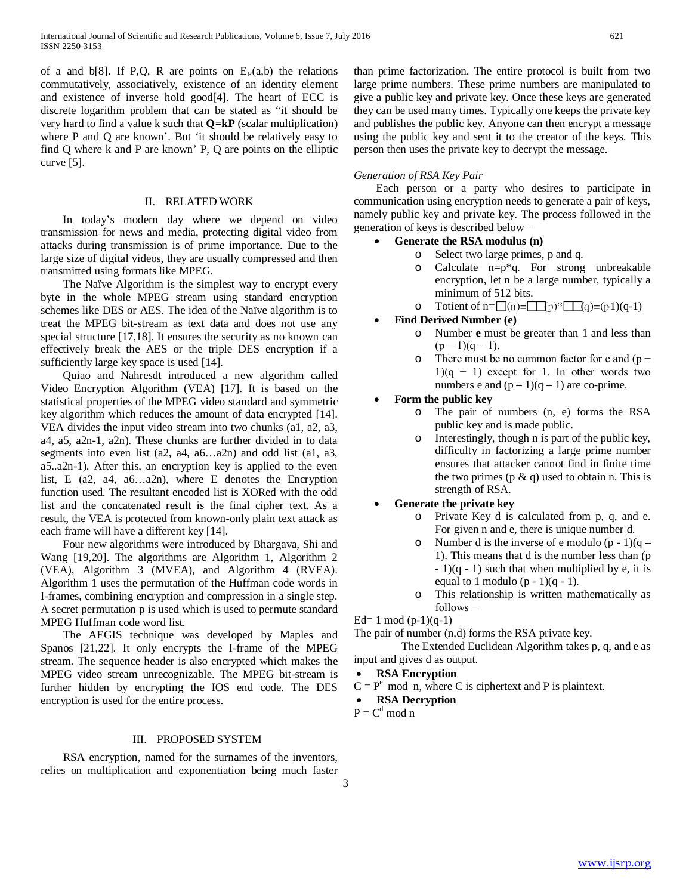of a and  $b[8]$ . If P,Q, R are points on  $E_P(a,b)$  the relations commutatively, associatively, existence of an identity element and existence of inverse hold good[4]. The heart of ECC is discrete logarithm problem that can be stated as "it should be very hard to find a value k such that **Q=kP** (scalar multiplication) where P and Q are known'. But 'it should be relatively easy to find Q where k and P are known' P, Q are points on the elliptic curve [5].

### II. RELATED WORK

 In today's modern day where we depend on video transmission for news and media, protecting digital video from attacks during transmission is of prime importance. Due to the large size of digital videos, they are usually compressed and then transmitted using formats like MPEG.

 The Naïve Algorithm is the simplest way to encrypt every byte in the whole MPEG stream using standard encryption schemes like DES or AES. The idea of the Naïve algorithm is to treat the MPEG bit-stream as text data and does not use any special structure [17,18]. It ensures the security as no known can effectively break the AES or the triple DES encryption if a sufficiently large key space is used [14].

 Quiao and Nahresdt introduced a new algorithm called Video Encryption Algorithm (VEA) [17]. It is based on the statistical properties of the MPEG video standard and symmetric key algorithm which reduces the amount of data encrypted [14]. VEA divides the input video stream into two chunks (a1, a2, a3, a4, a5, a2n-1, a2n). These chunks are further divided in to data segments into even list (a2, a4, a6...a2n) and odd list (a1, a3, a5..a2n-1). After this, an encryption key is applied to the even list, E (a2, a4, a6…a2n), where E denotes the Encryption function used. The resultant encoded list is XORed with the odd list and the concatenated result is the final cipher text. As a result, the VEA is protected from known-only plain text attack as each frame will have a different key [14].

 Four new algorithms were introduced by Bhargava, Shi and Wang [19,20]. The algorithms are Algorithm 1, Algorithm 2 (VEA), Algorithm 3 (MVEA), and Algorithm 4 (RVEA). Algorithm 1 uses the permutation of the Huffman code words in I-frames, combining encryption and compression in a single step. A secret permutation p is used which is used to permute standard MPEG Huffman code word list.

 The AEGIS technique was developed by Maples and Spanos [21,22]. It only encrypts the I-frame of the MPEG stream. The sequence header is also encrypted which makes the MPEG video stream unrecognizable. The MPEG bit-stream is further hidden by encrypting the IOS end code. The DES encryption is used for the entire process.

## III. PROPOSED SYSTEM

 RSA encryption, named for the surnames of the inventors, relies on multiplication and exponentiation being much faster than prime factorization. The entire protocol is built from two large prime numbers. These prime numbers are manipulated to give a public key and private key. Once these keys are generated they can be used many times. Typically one keeps the private key and publishes the public key. Anyone can then encrypt a message using the public key and sent it to the creator of the keys. This person then uses the private key to decrypt the message.

## *Generation of RSA Key Pair*

 Each person or a party who desires to participate in communication using encryption needs to generate a pair of keys, namely public key and private key. The process followed in the generation of keys is described below −

• **Generate the RSA modulus (n)**

- o Select two large primes, p and q.
- Calculate  $n=p*q$ . For strong unbreakable encryption, let n be a large number, typically a minimum of 512 bits.
- o Totient of  $n = \square(n) = \square(p)^* \square(q) = (p\cdot 1)(q-1)$
- **Find Derived Number (e)**
	- o Number **e** must be greater than 1 and less than  $(p-1)(q-1)$ .
	- o There must be no common factor for e and (p −  $1$ )(q − 1) except for 1. In other words two numbers e and  $(p-1)(q-1)$  are co-prime.
- **Form the public key**
	- o The pair of numbers (n, e) forms the RSA public key and is made public.
	- Interestingly, though n is part of the public key, difficulty in factorizing a large prime number ensures that attacker cannot find in finite time the two primes ( $p \& q$ ) used to obtain n. This is strength of RSA.

## • **Generate the private key**

- o Private Key d is calculated from p, q, and e. For given n and e, there is unique number d.
- o Number d is the inverse of e modulo  $(p 1)(q -$ 1). This means that d is the number less than (p  $-1$ )(q  $-1$ ) such that when multiplied by e, it is equal to 1 modulo  $(p - 1)(q - 1)$ .
- o This relationship is written mathematically as follows −

Ed= 1 mod  $(p-1)(q-1)$ 

The pair of number (n,d) forms the RSA private key.

 The Extended Euclidean Algorithm takes p, q, and e as input and gives d as output.

#### • **RSA Encryption**

 $C = P<sup>e</sup>$  mod n, where C is ciphertext and P is plaintext.

## • **RSA Decryption**

 $P = C^d \mod n$ 

3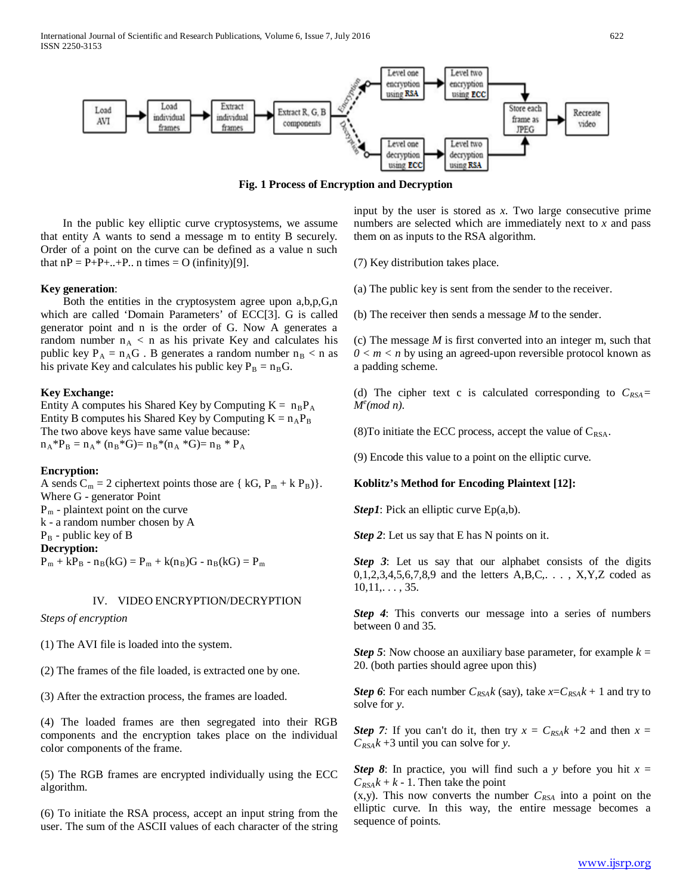

**Fig. 1 Process of Encryption and Decryption**

 In the public key elliptic curve cryptosystems, we assume that entity A wants to send a message m to entity B securely. Order of a point on the curve can be defined as a value n such that  $nP = P+P+...+P$ ... n times = O (infinity)[9].

### **Key generation**:

 Both the entities in the cryptosystem agree upon a,b,p,G,n which are called 'Domain Parameters' of ECC[3]. G is called generator point and n is the order of G. Now A generates a random number  $n_A < n$  as his private Key and calculates his public key  $P_A = n_A G$ . B generates a random number  $n_B < n$  as his private Key and calculates his public key  $P_B = n_B G$ .

#### **Key Exchange:**

Entity A computes his Shared Key by Computing  $K = n_B P_A$ Entity B computes his Shared Key by Computing  $K = n_A P_B$ The two above keys have same value because:  $n_A * P_B = n_A * (n_B * G) = n_B * (n_A * G) = n_B * P_A$ 

#### **Encryption:**

A sends  $C_m = 2$  ciphertext points those are { kG,  $P_m + k P_B$ }. Where G - generator Point  $P_m$  - plaintext point on the curve k - a random number chosen by A  $P_B$  - public key of B **Decryption:**  $P_m + kP_B - n_B(kG) = P_m + k(n_B)G - n_B(kG) = P_m$ 

## IV. VIDEO ENCRYPTION/DECRYPTION

#### *Steps of encryption*

- (1) The AVI file is loaded into the system.
- (2) The frames of the file loaded, is extracted one by one.
- (3) After the extraction process, the frames are loaded.

(4) The loaded frames are then segregated into their RGB components and the encryption takes place on the individual color components of the frame.

(5) The RGB frames are encrypted individually using the ECC algorithm.

(6) To initiate the RSA process, accept an input string from the user. The sum of the ASCII values of each character of the string

input by the user is stored as *x*. Two large consecutive prime numbers are selected which are immediately next to *x* and pass them on as inputs to the RSA algorithm.

(7) Key distribution takes place.

(a) The public key is sent from the sender to the receiver.

(b) The receiver then sends a message *M* to the sender.

(c) The message *M* is first converted into an integer m, such that  $0 \le m \le n$  by using an agreed-upon reversible protocol known as a padding scheme.

(d) The cipher text c is calculated corresponding to  $C_{RSA}$ = *Me (mod n)*.

(8) To initiate the ECC process, accept the value of  $C_{\text{RSA}}$ .

(9) Encode this value to a point on the elliptic curve.

### **Koblitz's Method for Encoding Plaintext [12]:**

*Step1*: Pick an elliptic curve Ep(a,b).

*Step 2*: Let us say that E has N points on it.

**Step 3:** Let us say that our alphabet consists of the digits  $0,1,2,3,4,5,6,7,8,9$  and the letters  $A,B,C,..., X,Y,Z$  coded as  $10,11,\ldots, 35.$ 

*Step 4*: This converts our message into a series of numbers between 0 and 35.

*Step 5*: Now choose an auxiliary base parameter, for example  $k =$ 20. (both parties should agree upon this)

*Step 6*: For each number  $C_{RSA}k$  (say), take  $x = C_{RSA}k + 1$  and try to solve for *y*.

*Step 7:* If you can't do it, then try  $x = C_{RSA}k + 2$  and then  $x =$ *CRSAk* +3 until you can solve for *y*.

*Step 8*: In practice, you will find such a *y* before you hit *x* =  $C_{RSA}k + k - 1$ . Then take the point

 $(x,y)$ . This now converts the number  $C_{RSA}$  into a point on the elliptic curve. In this way, the entire message becomes a sequence of points.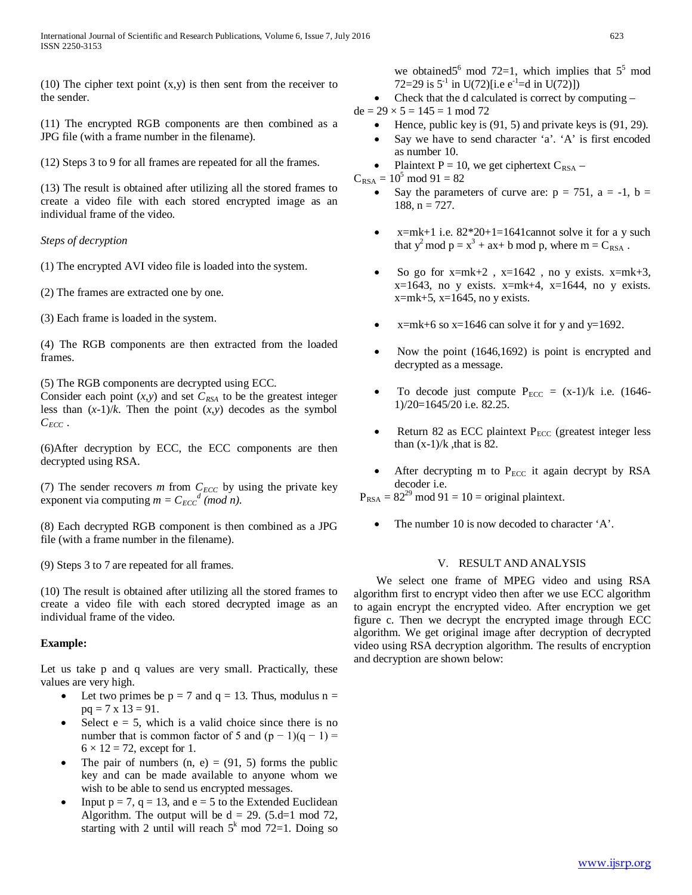(10) The cipher text point  $(x,y)$  is then sent from the receiver to the sender.

(11) The encrypted RGB components are then combined as a JPG file (with a frame number in the filename).

(12) Steps 3 to 9 for all frames are repeated for all the frames.

(13) The result is obtained after utilizing all the stored frames to create a video file with each stored encrypted image as an individual frame of the video.

## *Steps of decryption*

(1) The encrypted AVI video file is loaded into the system.

(2) The frames are extracted one by one.

(3) Each frame is loaded in the system.

(4) The RGB components are then extracted from the loaded frames.

(5) The RGB components are decrypted using ECC.

Consider each point  $(x, y)$  and set  $C_{RSA}$  to be the greatest integer less than  $(x-1)/k$ . Then the point  $(x,y)$  decodes as the symbol  $C_{ECC}$ .

(6)After decryption by ECC, the ECC components are then decrypted using RSA.

(7) The sender recovers  $m$  from  $C_{ECC}$  by using the private key exponent via computing  $m = C_{ECC}^d \pmod{n}$ .

(8) Each decrypted RGB component is then combined as a JPG file (with a frame number in the filename).

(9) Steps 3 to 7 are repeated for all frames.

(10) The result is obtained after utilizing all the stored frames to create a video file with each stored decrypted image as an individual frame of the video.

## **Example:**

Let us take p and q values are very small. Practically, these values are very high.

- Let two primes be  $p = 7$  and  $q = 13$ . Thus, modulus  $n =$  $pq = 7 \times 13 = 91$ .
- Select  $e = 5$ , which is a valid choice since there is no number that is common factor of 5 and  $(p - 1)(q - 1) =$  $6 \times 12 = 72$ , except for 1.
- The pair of numbers  $(n, e) = (91, 5)$  forms the public key and can be made available to anyone whom we wish to be able to send us encrypted messages.
- Input  $p = 7$ ,  $q = 13$ , and  $e = 5$  to the Extended Euclidean Algorithm. The output will be  $d = 29$ . (5.d=1 mod 72, starting with 2 until will reach  $5<sup>k</sup>$  mod 72=1. Doing so

we obtained  $5^6$  mod  $72=1$ , which implies that  $5^5$  mod 72=29 is  $5^{-1}$  in U(72)[i.e e<sup>-1</sup>=d in U(72)])

- Check that the d calculated is correct by computing –
- $de = 29 \times 5 = 145 = 1 \text{ mod } 72$ 
	- Hence, public key is  $(91, 5)$  and private keys is  $(91, 29)$ .
	- Say we have to send character 'a'. 'A' is first encoded as number 10.
	- Plaintext  $P = 10$ , we get ciphertext  $C_{RSA}$  –
- $C_{RSA} = 10^5 \text{ mod } 91 = 82$ 
	- Say the parameters of curve are:  $p = 751$ ,  $a = -1$ ,  $b =$  $188$ ,  $n = 727$ .
	- $x=mk+1$  i.e.  $82*20+1=1641$ cannot solve it for a y such that  $y^2$  mod  $p = x^3 + ax + b$  mod p, where  $m = C_{RSA}$ .
	- So go for  $x=mk+2$ ,  $x=1642$ , no y exists.  $x=mk+3$ ,  $x=1643$ , no y exists.  $x=mk+4$ ,  $x=1644$ , no y exists.  $x=mk+5$ ,  $x=1645$ , no y exists.
	- $x=mk+6$  so  $x=1646$  can solve it for y and  $y=1692$ .
	- Now the point (1646,1692) is point is encrypted and decrypted as a message.
	- To decode just compute  $P_{ECC} = (x-1)/k$  i.e. (1646-1)/20=1645/20 i.e. 82.25.
	- Return 82 as ECC plaintext  $P_{ECC}$  (greatest integer less than  $(x-1)/k$ , that is 82.
	- After decrypting  $m$  to  $P_{ECC}$  it again decrypt by RSA decoder i.e.
- $P_{RSA} = 82^{29} \text{ mod } 91 = 10 = \text{original plaintext.}$ 
	- The number 10 is now decoded to character 'A'.

## V. RESULT AND ANALYSIS

 We select one frame of MPEG video and using RSA algorithm first to encrypt video then after we use ECC algorithm to again encrypt the encrypted video. After encryption we get figure c. Then we decrypt the encrypted image through ECC algorithm. We get original image after decryption of decrypted video using RSA decryption algorithm. The results of encryption and decryption are shown below: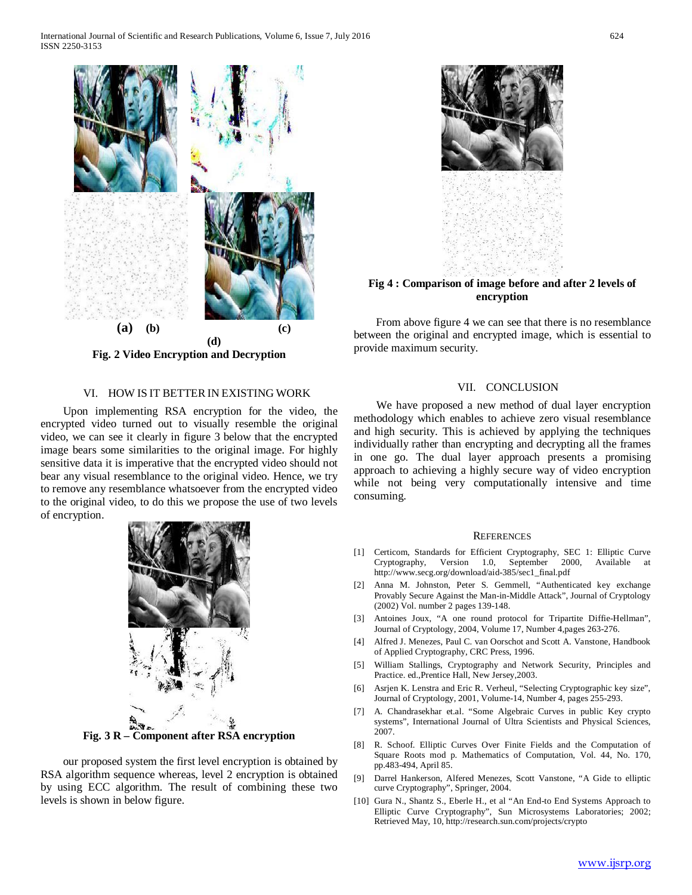

**Fig. 2 Video Encryption and Decryption**

## VI. HOW IS IT BETTER IN EXISTING WORK

 Upon implementing RSA encryption for the video, the encrypted video turned out to visually resemble the original video, we can see it clearly in figure 3 below that the encrypted image bears some similarities to the original image. For highly sensitive data it is imperative that the encrypted video should not bear any visual resemblance to the original video. Hence, we try to remove any resemblance whatsoever from the encrypted video to the original video, to do this we propose the use of two levels of encryption.



**Fig. 3 R – Component after RSA encryption**

 our proposed system the first level encryption is obtained by RSA algorithm sequence whereas, level 2 encryption is obtained by using ECC algorithm. The result of combining these two levels is shown in below figure.



**Fig 4 : Comparison of image before and after 2 levels of encryption**

 From above figure 4 we can see that there is no resemblance between the original and encrypted image, which is essential to provide maximum security.

#### VII. CONCLUSION

 We have proposed a new method of dual layer encryption methodology which enables to achieve zero visual resemblance and high security. This is achieved by applying the techniques individually rather than encrypting and decrypting all the frames in one go. The dual layer approach presents a promising approach to achieving a highly secure way of video encryption while not being very computationally intensive and time consuming.

#### **REFERENCES**

- [1] Certicom, Standards for Efficient Cryptography, SEC 1: Elliptic Curve Cryptography, Version 1.0, September 2000, Available at http://www.secg.org/download/aid-385/sec1\_final.pdf
- [2] Anna M. Johnston, Peter S. Gemmell, "Authenticated key exchange Provably Secure Against the Man-in-Middle Attack", Journal of Cryptology (2002) Vol. number 2 pages 139-148.
- [3] Antoines Joux, "A one round protocol for Tripartite Diffie-Hellman", Journal of Cryptology, 2004, Volume 17, Number 4,pages 263-276.
- [4] Alfred J. Menezes, Paul C. van Oorschot and Scott A. Vanstone, Handbook of Applied Cryptography, CRC Press, 1996.
- [5] William Stallings, Cryptography and Network Security, Principles and Practice. ed.,Prentice Hall, New Jersey,2003.
- [6] Asrjen K. Lenstra and Eric R. Verheul, "Selecting Cryptographic key size", Journal of Cryptology, 2001, Volume-14, Number 4, pages 255-293.
- [7] A. Chandrasekhar et.al. "Some Algebraic Curves in public Key crypto systems", International Journal of Ultra Scientists and Physical Sciences, 2007.
- [8] R. Schoof. Elliptic Curves Over Finite Fields and the Computation of Square Roots mod p. Mathematics of Computation, Vol. 44, No. 170, pp.483-494, April 85.
- [9] Darrel Hankerson, Alfered Menezes, Scott Vanstone, "A Gide to elliptic curve Cryptography", Springer, 2004.
- [10] Gura N., Shantz S., Eberle H., et al "An End-to End Systems Approach to Elliptic Curve Cryptography", Sun Microsystems Laboratories; 2002; Retrieved May, 10, http://research.sun.com/projects/crypto